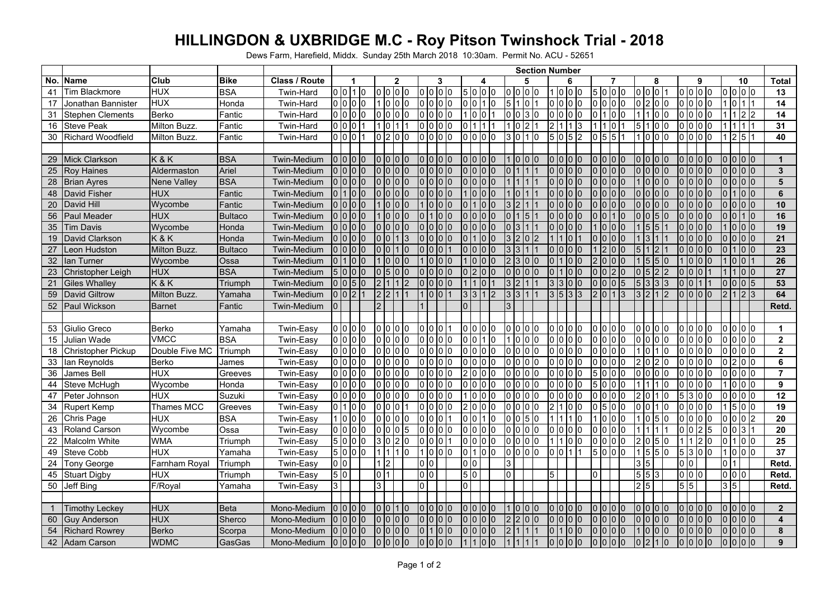## **HILLINGDON & UXBRIDGE M.C - Roy Pitson Twinshock Trial - 2018**

Dews Farm, Harefield, Middx. Sunday 25th March 2018 10:30am. Permit No. ACU - 52651

|    |                           |                |                |                    | <b>Section Number</b> |  |                 |                      |                                         |                                  |                                           |                         |                          |                                   |                         |                         |                         |
|----|---------------------------|----------------|----------------|--------------------|-----------------------|--|-----------------|----------------------|-----------------------------------------|----------------------------------|-------------------------------------------|-------------------------|--------------------------|-----------------------------------|-------------------------|-------------------------|-------------------------|
|    | No. Name                  | Club           | <b>Bike</b>    | Class / Route      |                       |  |                 | $\overline{2}$       | 3                                       | Δ                                | 5                                         | 6                       |                          | 8                                 | 9                       | $\overline{10}$         | <b>Total</b>            |
| 41 | <b>Tim Blackmore</b>      | <b>HUX</b>     | <b>BSA</b>     | Twin-Hard          | 0 0 1 0               |  | 0000            |                      | 0 <sub>0</sub><br>0                     | 5000                             | 0 <sub>0</sub><br>l0                      | 1000                    | 5000                     | 0 0 0 1                           | 0000                    | 0000                    | 13                      |
| 17 | Jonathan Bannister        | <b>HUX</b>     | Honda          | <b>Twin-Hard</b>   | 0 0 0                 |  |                 | 0 0 0                | $\overline{0}$<br> 0 0                  | 0 0 1 0                          | 5<br>Iо                                   | <sup>0</sup><br>0 0 0   | 0 <sub>0</sub><br>0      | 0 2 0 0                           | 0000                    | 10<br>11                | $\overline{14}$         |
| 31 | <b>Stephen Clements</b>   | Berko          | Fantic         | Twin-Hard          | 0000                  |  | lo lo lo lo     |                      | 0000                                    | 1 10 10 11                       | l0<br>030                                 | 0000                    | 0100                     | 11100                             | lo lo lo lo             | 1 1 2 2                 | $\overline{14}$         |
| 16 | <b>Steve Peak</b>         | Milton Buzz.   | Fantic         | Twin-Hard          | 0 0 0                 |  | 10              |                      | lo lo lo<br>0                           |                                  | $\overline{2}$<br>10                      | $\overline{c}$<br>1 1 3 | 10                       | 5 1 0 0                           | 0000                    | 111                     | $\overline{31}$         |
| 30 | <b>Richard Woodfield</b>  | Milton Buzz.   | Fantic         | Twin-Hard          | 0001                  |  | 0200            |                      | 0000                                    | 0 0 0 0                          | l3<br>0 1 0                               | 5 0 5 2                 | $0 \, 5 \, 5 \, 1$       | 1000                              | 0000                    | 2 5 1                   | 40                      |
|    |                           |                |                |                    |                       |  |                 |                      |                                         |                                  |                                           |                         |                          |                                   |                         |                         |                         |
| 29 | Mick Clarkson             | K&K            | <b>BSA</b>     | <b>Twin-Medium</b> | $0$ 0 0 $0$           |  | 0000            |                      | 0 0 0                                   | 0 10 10 10                       | 1 10 10 10                                | 0000                    | 0000                     | 0 0 0 0                           | 0000                    | 0 0 0                   | $\mathbf 1$             |
| 25 | <b>Roy Haines</b>         | Aldermaston    | Ariel          | <b>Twin-Medium</b> | $0$ $0$ $0$ $0$       |  |                 | 0 0                  | 0 <sub>10</sub><br>l0                   | o lo lo lo                       |                                           | 0000                    | 000                      | 0000                              | 0 <sub>10</sub><br>1010 | $0$ $0$ $0$ $0$         | $\mathbf{3}$            |
| 28 | <b>Brian Ayres</b>        | Nene Valley    | <b>BSA</b>     | Twin-Medium        | 0000                  |  | 0000            |                      | $0 10 10$<br>$\overline{0}$             | o lo lo lo                       |                                           | 01010                   | 0 0 0 0                  | 1 0 0 0                           | 0000                    | 0000                    | $\overline{\mathbf{5}}$ |
| 48 | David Fisher              | <b>HUX</b>     | Fantic         | <b>Twin-Medium</b> | 0100                  |  | 0 0 0           | 10                   | $\Omega$<br>1010<br>10                  | 1 IO IO IO                       | 10                                        | $0$ $0$ $0$ $0$         | 0 0 0<br>n               | o lo lo lo                        | lo lo<br>1010           | $\overline{0}$<br>100   | 6                       |
| 20 | David Hill                | Wycombe        | Fantic         | <b>Twin-Medium</b> | 0000                  |  |                 | - 10 10 10           | 01010                                   | 1 1 0 1 0                        | $\overline{2}$<br>3                       | 0.01010                 | 0 0 0 0                  | lo lo lo lo                       | 0000                    | 0 0 0 0                 | 10                      |
| 56 | <b>Paul Meader</b>        | <b>HUX</b>     | <b>Bultaco</b> | Twin-Medium        | 0 0 0 0               |  |                 | I0<br>I٥             | 1010                                    | 0 0 0 0                          | $\vert 5 \vert$<br>l 1                    | 0 0 0 0                 | 0 1 0                    | 0 <sup>0</sup><br>5 <sub>10</sub> | 0000                    | lo lo l1 lo             | 16                      |
| 35 | Tim Davis                 | Wycombe        | Honda          | <b>Twin-Medium</b> | 0000                  |  | 0000            |                      | 0 <sub>10</sub><br>$\overline{0}$<br>10 | 0 10 10 10                       | 0 <sup>13</sup><br>$\mathsf{I}$           | 0000                    | 1 IO IO IO               | $1\overline{5}$<br>5              | $0$ 0 0 $0$             | 0 0 0                   | 19                      |
| 19 | David Clarkson            | K&K            | Honda          | <b>Twin-Medium</b> | $0$ $0$ $0$ $0$       |  | 0 0 1 3         |                      | $\Omega$<br>101010                      | 0 1 1 1 0 1 0                    | 3 2 0 2                                   | 11101                   | 0000                     | 1 3 1                             | 0000                    | $0$ $0$ $0$ $0$         | $\overline{21}$         |
| 27 | Leon Hudston              | Milton Buzz.   | <b>Bultaco</b> | Twin-Medium        | 0 0 0 0               |  |                 | 110                  | $\Omega$<br>Iо                          | 0000                             | 3<br>$\vert$ 3<br>$\mathsf{I}$            | $\overline{0}$<br>01010 | 200                      | $5 \mid 1 \mid 2$                 | 0000                    | $\overline{0}$<br>100   | $\overline{23}$         |
| 32 | llan Turner               | Wycombe        | Ossa           | <b>Twin-Medium</b> | 01100                 |  |                 | I0<br>10             | 0 <sub>10</sub>                         | 1 0 0 0                          | 0 0<br>3                                  | $\overline{0}$<br>11010 | 0 0 0                    | 1 5 5 0                           | 1 10 10 10              | $0$ $0$ $1$             | $\overline{26}$         |
| 23 | Christopher Leigh         | <b>HUX</b>     | <b>BSA</b>     | <b>Twin-Medium</b> | 5000                  |  | 0151010         |                      | l0<br>$\Omega$                          | 200                              | $\overline{0}$<br>$\overline{10}$<br>1010 | $\overline{0}$<br>1010  | I0<br><u> 2</u>          | $0\vert 5$                        | 0 <sub>10</sub><br>10   | 100                     | $\overline{27}$         |
| 21 | <b>Giles Whalley</b>      | K&K            | Triumph        | <b>Twin-Medium</b> | $0$ $0$ $5$ $0$       |  | 21112           |                      | 01010<br>$\Omega$                       |                                  | 3 <sub>2</sub><br>111                     | 3131010                 | $0005$                   | 5 3 3 3                           | 0011                    | lo lo lo l5             | 53                      |
| 59 | David Giltrow             | Milton Buzz.   | Yamaha         | Twin-Medium        | 0 0 2                 |  | 2 I 2           |                      | 10<br>IО                                | 3 3 1 2                          | 3 3                                       | 3 5 3 3                 | I0<br>$\mathcal{P}$<br>3 | 3 2                               | 0000                    | $\overline{2}$<br>123   | 64                      |
| 52 | <b>Paul Wickson</b>       | <b>Barnet</b>  | Fantic         | <b>Twin-Medium</b> | $\overline{0}$        |  |                 |                      |                                         | $\Omega$                         |                                           |                         |                          |                                   |                         |                         | Retd.                   |
|    |                           |                |                |                    |                       |  |                 |                      |                                         |                                  |                                           |                         |                          |                                   |                         |                         |                         |
|    | 53 Giulio Greco           | <b>Berko</b>   | Yamaha         | Twin-Easy          | lo lo lo lo           |  | 0 0 0 0         |                      | 0 0 0                                   | 0 10 10 10                       | lo lo lo lo                               | 0000                    | 0000                     | 0000                              | 0000                    | 0000                    | $\mathbf 1$             |
| 15 | Julian Wade               | <b>VMCC</b>    | <b>BSA</b>     | <b>Twin-Easy</b>   | 0000                  |  | 0000            |                      | $\overline{0}$<br>000                   |                                  | 10<br>10 IO                               | 01010                   | I0<br>I0<br>l0           | 0 0<br>lo Io                      | 0000                    | 0000                    | $\overline{2}$          |
| 18 | <b>Christopher Pickup</b> | Double Five MC | Triumph        | Twin-Easy          | lo lo lo lo           |  | 0000            |                      | $\overline{0}$<br>0 0 0                 | o lo lo lo                       | 0 0 0 0                                   | 0000                    | 0 0 0                    | 1 0 1 0                           | lo lo lo lo             | 0000                    | $\mathbf{2}$            |
|    | 33 Ian Reynolds           | Berko          | James          | <b>Twin-Easy</b>   | 0000                  |  | 0000            |                      | l0<br>10 10 10                          | 0000                             | 0 <sup>10</sup><br>lo lo                  | 0000                    | $00$<br>I٥               | 2 0 2 0                           | 0000                    | $\overline{0}$<br>200   | 6                       |
| 36 | James Bell                | <b>HUX</b>     | Greeves        | Twin-Easy          | 0000                  |  | 0000            |                      | $\Omega$<br>0 0 0                       | 2 10 10 10                       | 10 10 10<br>l0                            | 0000                    | 5000                     | lo lo lo lo                       | 0000                    | 0000                    | $\overline{7}$          |
| 44 | <b>Steve McHugh</b>       | Wycombe        | Honda          | Twin-Easy          | 0000                  |  | 0000            |                      | 0 <sub>0</sub><br>0                     | 0 0 0                            | 000<br>l0                                 | $00$ $00$               | 5 0 0 0                  | 1 1 1 1 1 0                       | 0000                    | 1000                    | 9                       |
| 47 | Peter Johnson             | HUX            | Suzuki         | Twin-Easy          | 0000                  |  | lo lo lo lo     |                      | 000<br>0                                | 1 IO IO IO                       | <b>000</b><br>l0                          | n.<br>01010             | 000                      | 2 0                               | 5300                    | $\overline{0}$          | $\overline{12}$         |
|    | 34 Rupert Kemp            | Thames MCC     | Greeves        | Twin-Easy          | 0100                  |  | 0001            |                      | 0000                                    | 2000                             | 0000                                      | $\mathcal{P}$<br>11010  | $0 5 0 0$                | $0$ $0$ $1$ $1$ $0$               | 0000                    | 1500                    | 19                      |
| 26 | <b>Chris Page</b>         | <b>HUX</b>     | <b>BSA</b>     | Twin-Easy          | 1000                  |  | 01010           |                      | $\Omega$<br>0 <sup>10</sup>             | 0 IO I1 IO                       | $0\vert 5\vert 0$<br>I٥                   | 11 I O                  | 0 0 0                    | 1 <sub>0</sub>                    | lo lo lo lo             | 0 0 2<br>$\Omega$       | 20                      |
|    | 43 Roland Carson          | Wycombe        | Ossa           | Twin-Easy          | 0000                  |  | 0 0 0           | 15                   | $\overline{0}$<br>000                   | 0 0 0                            | lo lo lo<br>10                            | 0000                    | 0000                     | $1\vert 1$                        | 0025                    | 0 0 3 1                 | 20                      |
| 22 | <b>Malcolm White</b>      | <b>WMA</b>     | Triumph        | Twin-Easy          | 5000                  |  | 3 0 2 0         |                      | $\overline{0}$<br>1010                  | $\sqrt{0}$ $\sqrt{0}$ $\sqrt{0}$ | 0 <sup>10</sup><br>lo lo                  | 1100                    | 0000                     | 2 0 5 0                           | 1 1 2 0                 | 0100                    | 25                      |
|    | 49 Steve Cobb             | <b>HUX</b>     | Yamaha         | Twin-Easy          | 5000                  |  | 1 1 1 0         |                      | 1000                                    | 0100                             | 0000                                      | 00111                   | 5000                     | 1 5 5 0                           | 5300                    | 1000                    | 37                      |
| 24 | <b>Tony George</b>        | Farnham Royal  | Triumph        | Twin-Easy          | $\overline{0}$        |  | 1 2             |                      | $\overline{0}$<br>Iо                    | $\overline{0}$ $\overline{0}$    | 3                                         |                         |                          | 3 5                               | 0 0                     | $\overline{0}$<br>I1    | Retd.                   |
|    | 45 Stuart Digby           | <b>HUX</b>     | Triumph        | Twin-Easy          | 5 0                   |  | 011             |                      | 0 <sup>10</sup>                         | 5 0                              | 0                                         | 5                       | I0                       | 5 5 3                             | 0 0 0                   | 0 0 0                   | Retd.                   |
|    | 50 Jeff Bing              | F/Royal        | Yamaha         | Twin-Easy          | 3                     |  | $\overline{3}$  |                      | l0                                      | $\overline{0}$                   |                                           |                         |                          | $2\overline{5}$                   | $\overline{5}$ 5        | 3 5                     | Retd.                   |
|    |                           |                |                |                    |                       |  |                 |                      |                                         |                                  |                                           |                         |                          |                                   |                         |                         |                         |
|    | <b>Fimothy Leckey</b>     | <b>HUX</b>     | <b>Beta</b>    | Mono-Medium        | 0000                  |  |                 | 10                   | $\overline{0}$<br><b>1010</b><br>IO.    | 0 10 10 10                       | 10<br>10 IO                               | 0000                    | 0 0 0<br>l0              | 0 0 0                             | 0000                    | 0000                    | $\overline{2}$          |
| 60 | <b>Guy Anderson</b>       | <b>HUX</b>     | Sherco         | Mono-Medium        | 0000                  |  | $0000$          |                      | $\overline{0}$<br><b>000</b>            | o lo lo lo                       | <b>2</b><br><b>2</b><br>1010              | 0 0 0 0                 | $0$ $0$ $0$ $0$          | 0 0 0 0                           | 0000                    | 0000                    | $\overline{\mathbf{4}}$ |
| 54 | <b>Richard Rowrey</b>     | <b>Berko</b>   | Scorpa         | Mono-Medium        | 0000                  |  | 0 <sup>10</sup> | I <sub>0</sub><br>10 | $\overline{0}$<br>10                    |                                  |                                           | $\Omega$<br>11010       | 000<br><sup>0</sup>      | $1$ to to to                      | $0$ $0$ $0$ $0$         | $\overline{0}$<br>0 0 0 | 8                       |
|    | 42 Adam Carson            | <b>WDMC</b>    | GasGas         | Mono-Medium        | 0000                  |  | 0000            |                      | 0000                                    | <b>1010</b>                      |                                           | 0000                    | 0000                     | 0 2 <br>110                       | 0000                    | $0$ $0$ $0$ $0$         | 9 <sup>°</sup>          |